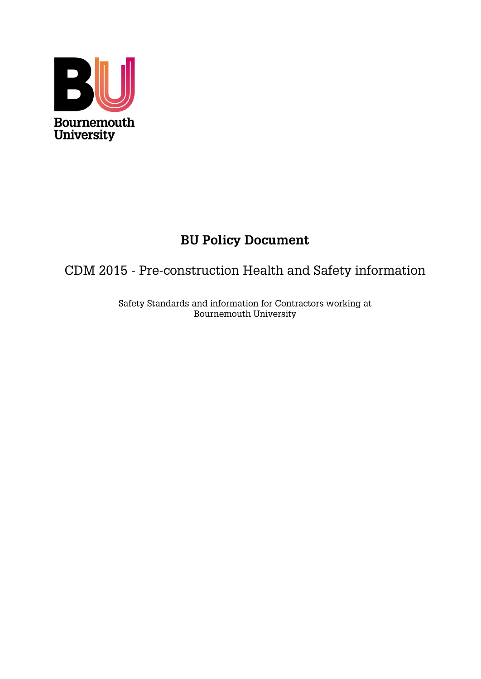

# **BU Policy Document**

# CDM 2015 - Pre-construction Health and Safety information

Safety Standards and information for Contractors working at Bournemouth University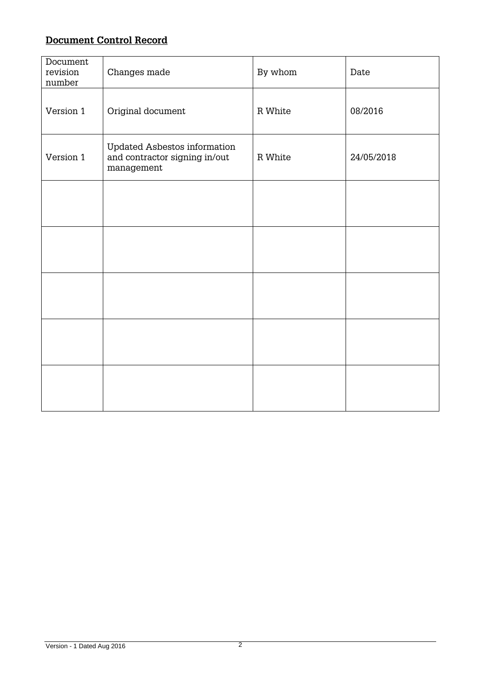# **Document Control Record**

| Document<br>revision<br>number | Changes made                                                                | By whom | Date       |
|--------------------------------|-----------------------------------------------------------------------------|---------|------------|
| Version 1                      | Original document                                                           | R White | 08/2016    |
| Version 1                      | Updated Asbestos information<br>and contractor signing in/out<br>management | R White | 24/05/2018 |
|                                |                                                                             |         |            |
|                                |                                                                             |         |            |
|                                |                                                                             |         |            |
|                                |                                                                             |         |            |
|                                |                                                                             |         |            |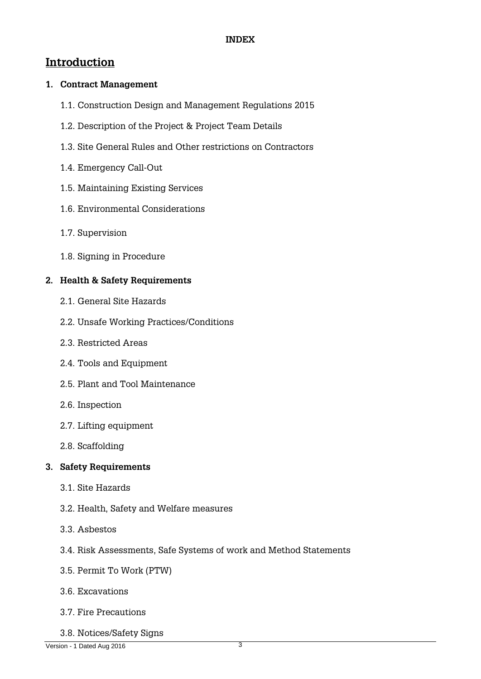# **Introduction**

# **1. Contract Management**

- 1.1. Construction Design and Management Regulations 2015
- 1.2. Description of the Project & Project Team Details
- 1.3. Site General Rules and Other restrictions on Contractors
- 1.4. Emergency Call-Out
- 1.5. Maintaining Existing Services
- 1.6. Environmental Considerations
- 1.7. Supervision
- 1.8. Signing in Procedure

# **2. Health & Safety Requirements**

- 2.1. General Site Hazards
- 2.2. Unsafe Working Practices/Conditions
- 2.3. Restricted Areas
- 2.4. Tools and Equipment
- 2.5. Plant and Tool Maintenance
- 2.6. Inspection
- 2.7. Lifting equipment
- 2.8. Scaffolding

# **3. Safety Requirements**

- 3.1. Site Hazards
- 3.2. Health, Safety and Welfare measures
- 3.3. Asbestos
- 3.4. Risk Assessments, Safe Systems of work and Method Statements
- 3.5. Permit To Work (PTW)
- 3.6. Excavations
- 3.7. Fire Precautions
- 3.8. Notices/Safety Signs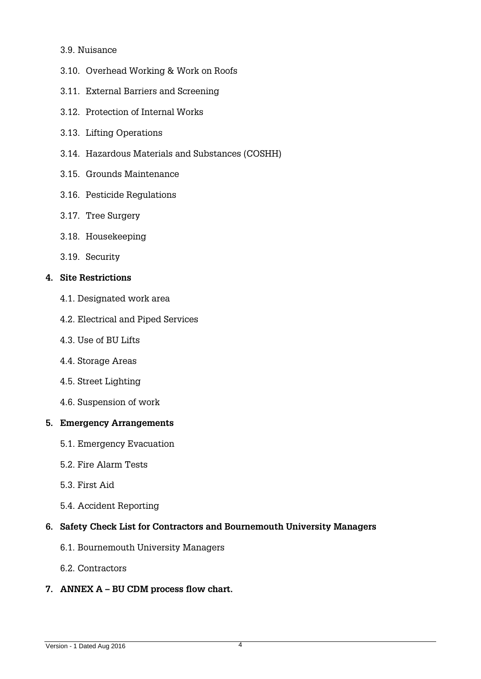### 3.9. Nuisance

- 3.10. Overhead Working & Work on Roofs
- 3.11. External Barriers and Screening
- 3.12. Protection of Internal Works
- 3.13. Lifting Operations
- 3.14. Hazardous Materials and Substances (COSHH)
- 3.15. Grounds Maintenance
- 3.16. Pesticide Regulations
- 3.17. Tree Surgery
- 3.18. Housekeeping
- 3.19. Security

### **4. Site Restrictions**

- 4.1. Designated work area
- 4.2. Electrical and Piped Services
- 4.3. Use of BU Lifts
- 4.4. Storage Areas
- 4.5. Street Lighting
- 4.6. Suspension of work

### **5. Emergency Arrangements**

- 5.1. Emergency Evacuation
- 5.2. Fire Alarm Tests
- 5.3. First Aid
- 5.4. Accident Reporting

# **6. Safety Check List for Contractors and Bournemouth University Managers**

- 6.1. [Bournemouth University Managers](#page-27-0)
- 6.2. Contractors

# **7. ANNEX A – BU CDM process flow chart.**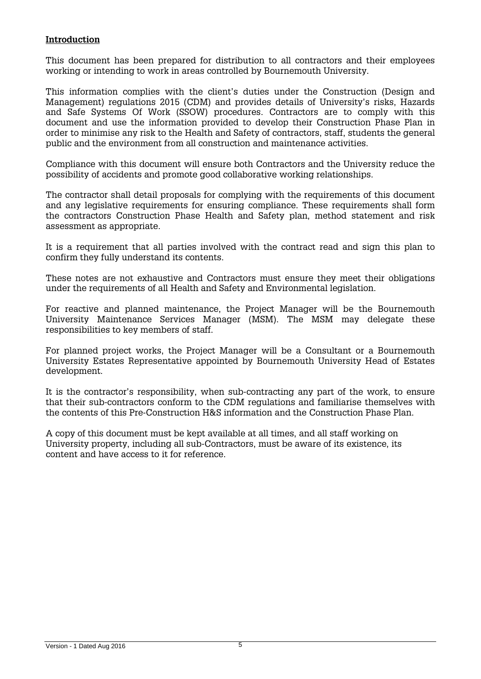### **Introduction**

This document has been prepared for distribution to all contractors and their employees working or intending to work in areas controlled by Bournemouth University.

This information complies with the client's duties under the Construction (Design and Management) regulations 2015 (CDM) and provides details of University's risks, Hazards and Safe Systems Of Work (SSOW) procedures. Contractors are to comply with this document and use the information provided to develop their Construction Phase Plan in order to minimise any risk to the Health and Safety of contractors, staff, students the general public and the environment from all construction and maintenance activities.

Compliance with this document will ensure both Contractors and the University reduce the possibility of accidents and promote good collaborative working relationships.

The contractor shall detail proposals for complying with the requirements of this document and any legislative requirements for ensuring compliance. These requirements shall form the contractors Construction Phase Health and Safety plan, method statement and risk assessment as appropriate.

It is a requirement that all parties involved with the contract read and sign this plan to confirm they fully understand its contents.

These notes are not exhaustive and Contractors must ensure they meet their obligations under the requirements of all Health and Safety and Environmental legislation.

For reactive and planned maintenance, the Project Manager will be the Bournemouth University Maintenance Services Manager (MSM). The MSM may delegate these responsibilities to key members of staff.

For planned project works, the Project Manager will be a Consultant or a Bournemouth University Estates Representative appointed by Bournemouth University Head of Estates development.

It is the contractor's responsibility, when sub-contracting any part of the work, to ensure that their sub-contractors conform to the CDM regulations and familiarise themselves with the contents of this Pre-Construction H&S information and the Construction Phase Plan.

A copy of this document must be kept available at all times, and all staff working on University property, including all sub-Contractors, must be aware of its existence, its content and have access to it for reference.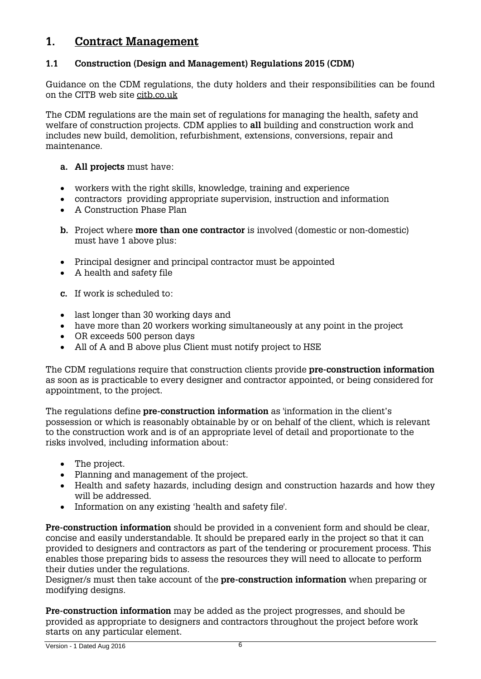# **1. Contract Management**

# **1.1 Construction (Design and Management) Regulations 2015 (CDM)**

Guidance on the CDM regulations, the duty holders and their responsibilities can be found on the CITB web site [citb.co.uk](file:///C:\Users\rwhite\AppData\Local\Microsoft\Windows\Temporary%20Internet%20Files\Content.Outlook\C6JTT1GC\The%20Construction%20(Design%20&%20Management)%20Regulations%20(CDM%202015)%20are%20the%20main%20set%20of%20regulations%20for%20managing%20the%20health,%20safety%20and%20welfare%20of%20construction%20projects.%20CDM%20applies%20to%20all%20building%20and%20construction%20work%20and%20includes%20new%20build,%20demolition,%20refurbishment,%20extensions,%20conversions,%20repair%20and%20maintenance.)

The CDM regulations are the main set of regulations for managing the health, safety and welfare of construction projects. CDM applies to **all** building and construction work and includes new build, demolition, refurbishment, extensions, conversions, repair and maintenance.

- **a. All projects** must have:
- workers with the right skills, knowledge, training and experience
- contractors providing appropriate supervision, instruction and information
- A Construction Phase Plan
- **b.** Project where **more than one contractor** is involved (domestic or non-domestic) must have 1 above plus:
- Principal designer and principal contractor must be appointed
- A health and safety file
- **c.** If work is scheduled to:
- last longer than 30 working days and
- have more than 20 workers working simultaneously at any point in the project
- OR exceeds 500 person days
- All of A and B above plus Client must notify project to HSE

The CDM regulations require that construction clients provide **pre-construction information** as soon as is practicable to every designer and contractor appointed, or being considered for appointment, to the project.

The regulations define **pre-construction information** as 'information in the client's possession or which is reasonably obtainable by or on behalf of the client, which is relevant to the construction work and is of an appropriate level of detail and proportionate to the risks involved, including information about:

- The project.
- Planning and management of the project.
- Health and safety hazards, including design and construction hazards and how they will be addressed.
- Information on any existing 'health and safety file'.

**Pre-construction information** should be provided in a convenient form and should be clear, concise and easily understandable. It should be prepared early in the project so that it can provided to designers and contractors as part of the tendering or procurement process. This enables those preparing bids to assess the resources they will need to allocate to perform their duties under the regulations.

Designer/s must then take account of the **pre-construction information** when preparing or modifying designs.

**Pre-construction information** may be added as the project progresses, and should be provided as appropriate to designers and contractors throughout the project before work starts on any particular element.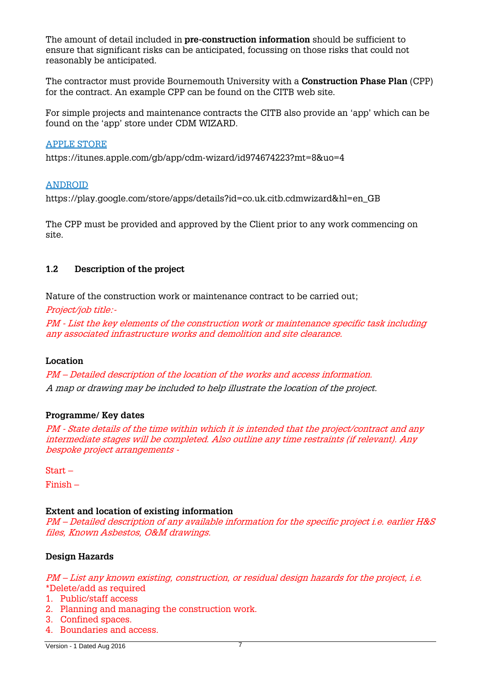The amount of detail included in **pre-construction information** should be sufficient to ensure that significant risks can be anticipated, focussing on those risks that could not reasonably be anticipated.

The contractor must provide Bournemouth University with a **Construction Phase Plan** (CPP) for the contract. An example CPP can be found on the CITB web site.

For simple projects and maintenance contracts the CITB also provide an 'app' which can be found on the 'app' store under CDM WIZARD.

#### [APPLE STORE](https://itunes.apple.com/gb/app/cdm-wizard/id974674223?mt=8&uo=4)

<https://itunes.apple.com/gb/app/cdm-wizard/id974674223?mt=8&uo=4>

### [ANDROID](https://play.google.com/store/apps/details?id=co.uk.citb.cdmwizard&hl=en_GB)

[https://play.google.com/store/apps/details?id=co.uk.citb.cdmwizard&hl=en\\_GB](https://play.google.com/store/apps/details?id=co.uk.citb.cdmwizard&hl=en_GB)

The CPP must be provided and approved by the Client prior to any work commencing on site.

### **1.2 Description of the project**

Nature of the construction work or maintenance contract to be carried out;

Project/job title:-

PM - List the key elements of the construction work or maintenance specific task including any associated infrastructure works and demolition and site clearance.

### **Location**

PM – Detailed description of the location of the works and access information. A map or drawing may be included to help illustrate the location of the project.

### **Programme/ Key dates**

PM - State details of the time within which it is intended that the project/contract and any intermediate stages will be completed. Also outline any time restraints (if relevant). Any bespoke project arrangements -

Start –

Finish –

#### **Extent and location of existing information**

PM – Detailed description of any available information for the specific project i.e. earlier H&S files, Known Asbestos, O&M drawings.

### **Design Hazards**

PM – List any known existing, construction, or residual design hazards for the project, i.e. \*Delete/add as required

- 1. Public/staff access
- 2. Planning and managing the construction work.
- 3. Confined spaces.
- 4. Boundaries and access.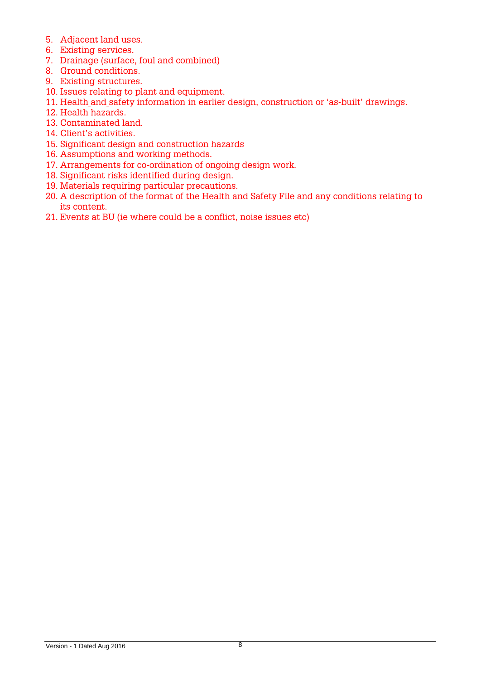- 5. Adjacent land uses.
- 6. Existing services.
- 7. Drainage (surface, foul and combined)
- 8. Ground [conditions.](http://www.designingbuildings.co.uk/wiki/Ground_conditions)
- 9. Existing [structures.](http://www.designingbuildings.co.uk/wiki/Structure)
- 10. Issues relating to plant and [equipment.](http://www.designingbuildings.co.uk/wiki/Equipment)
- 11. [Health](http://www.designingbuildings.co.uk/wiki/Health_and_safety) and safety information in earlier design, construction or 'as-built' [drawings.](http://www.designingbuildings.co.uk/wiki/Drawings)
- 12. Health hazards.
- 13. [Contaminated](http://www.designingbuildings.co.uk/wiki/Contaminated_land) land.
- 14. [Client'](http://www.designingbuildings.co.uk/wiki/Client)s activities.
- 15. Significant [design and construction](http://www.designingbuildings.co.uk/wiki/Design_and_construct) hazards
- 16. Assumptions and working methods.
- 17. Arrangements for co-ordination of ongoing design work.
- 18. Significant risks identified during design.
- 19. Materials requiring particular precautions.
- 20. A description of the format of the [Health and Safety File](http://www.designingbuildings.co.uk/wiki/Health_and_safety_file) and any conditions relating to its content.
- 21. Events at BU (ie where could be a conflict, noise issues etc)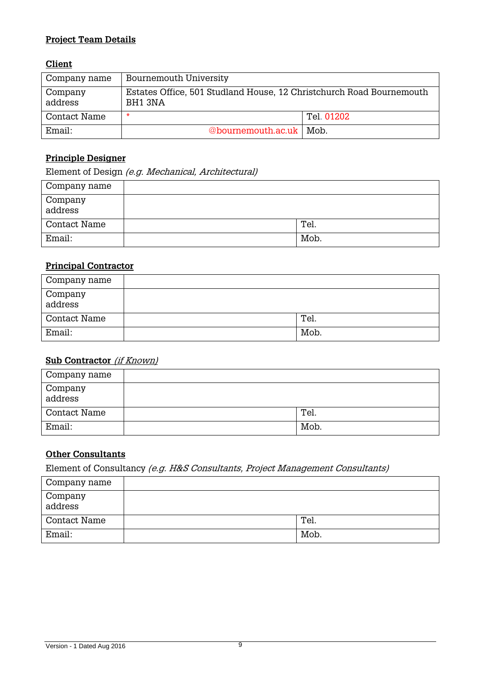# **Project Team Details**

### **Client**

| Company name       | <b>Bournemouth University</b>                                                   |            |
|--------------------|---------------------------------------------------------------------------------|------------|
| Company<br>address | Estates Office, 501 Studland House, 12 Christchurch Road Bournemouth<br>BH1 3NA |            |
| Contact Name       | *                                                                               | Tel. 01202 |
| Email:             | @bournemouth.ac.uk   Mob.                                                       |            |

# **Principle Designer**

Element of Design (e.g. Mechanical, Architectural)

| Company name         |      |
|----------------------|------|
| Company<br>  address |      |
| <b>Contact Name</b>  | Tel. |
| Email:               | Mob. |

### **Principal Contractor**

| Company name         |      |
|----------------------|------|
| Company<br>  address |      |
| Contact Name         | Tel. |
| Email:               | Mob. |

### **Sub Contractor** (if Known)

| Company name       |      |
|--------------------|------|
| Company<br>address |      |
| Contact Name       | Tel. |
| Email:             | Mob. |

# **Other Consultants**

Element of Consultancy (e.g. H&S Consultants, Project Management Consultants)

| Company name         |      |
|----------------------|------|
| Company<br>  address |      |
| Contact Name         | Tel. |
| Email:               | Mob. |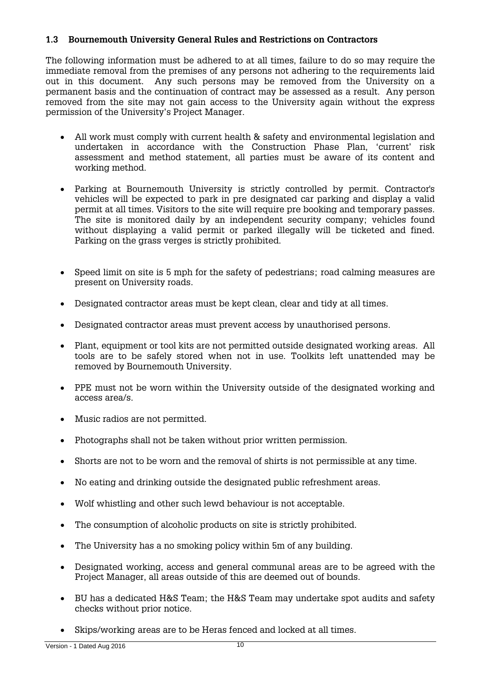### **1.3 Bournemouth University General Rules and Restrictions on Contractors**

The following information must be adhered to at all times, failure to do so may require the immediate removal from the premises of any persons not adhering to the requirements laid out in this document. Any such persons may be removed from the University on a permanent basis and the continuation of contract may be assessed as a result. Any person removed from the site may not gain access to the University again without the express permission of the University's Project Manager.

- All work must comply with current health & safety and environmental legislation and undertaken in accordance with the Construction Phase Plan, 'current' risk assessment and method statement, all parties must be aware of its content and working method.
- Parking at Bournemouth University is strictly controlled by permit. Contractor's vehicles will be expected to park in pre designated car parking and display a valid permit at all times. Visitors to the site will require pre booking and temporary passes. The site is monitored daily by an independent security company; vehicles found without displaying a valid permit or parked illegally will be ticketed and fined. Parking on the grass verges is strictly prohibited.
- Speed limit on site is 5 mph for the safety of pedestrians; road calming measures are present on University roads.
- Designated contractor areas must be kept clean, clear and tidy at all times.
- Designated contractor areas must prevent access by unauthorised persons.
- Plant, equipment or tool kits are not permitted outside designated working areas. All tools are to be safely stored when not in use. Toolkits left unattended may be removed by Bournemouth University.
- PPE must not be worn within the University outside of the designated working and access area/s.
- Music radios are not permitted.
- Photographs shall not be taken without prior written permission.
- Shorts are not to be worn and the removal of shirts is not permissible at any time.
- No eating and drinking outside the designated public refreshment areas.
- Wolf whistling and other such lewd behaviour is not acceptable.
- The consumption of alcoholic products on site is strictly prohibited.
- The University has a no smoking policy within 5m of any building.
- Designated working, access and general communal areas are to be agreed with the Project Manager, all areas outside of this are deemed out of bounds.
- BU has a dedicated H&S Team; the H&S Team may undertake spot audits and safety checks without prior notice.
- Skips/working areas are to be Heras fenced and locked at all times.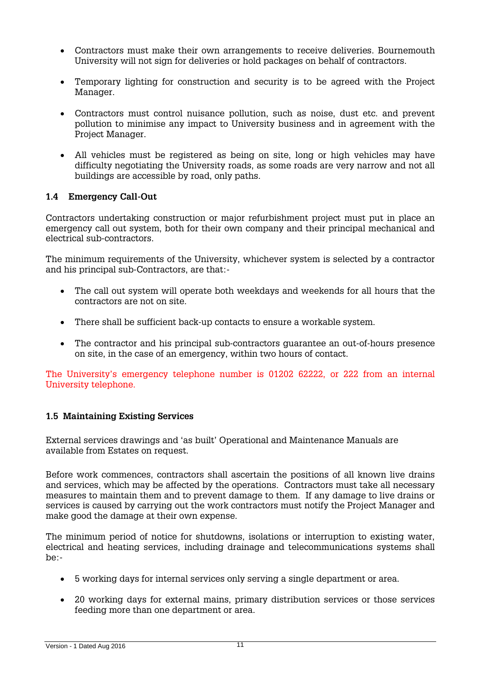- Contractors must make their own arrangements to receive deliveries. Bournemouth University will not sign for deliveries or hold packages on behalf of contractors.
- Temporary lighting for construction and security is to be agreed with the Project Manager.
- Contractors must control nuisance pollution, such as noise, dust etc. and prevent pollution to minimise any impact to University business and in agreement with the Project Manager.
- All vehicles must be registered as being on site, long or high vehicles may have difficulty negotiating the University roads, as some roads are very narrow and not all buildings are accessible by road, only paths.

### **1.4 Emergency Call-Out**

Contractors undertaking construction or major refurbishment project must put in place an emergency call out system, both for their own company and their principal mechanical and electrical sub-contractors.

The minimum requirements of the University, whichever system is selected by a contractor and his principal sub-Contractors, are that:-

- The call out system will operate both weekdays and weekends for all hours that the contractors are not on site.
- There shall be sufficient back-up contacts to ensure a workable system.
- The contractor and his principal sub-contractors guarantee an out-of-hours presence on site, in the case of an emergency, within two hours of contact.

The University's emergency telephone number is 01202 62222, or 222 from an internal University telephone.

# **1.5 Maintaining Existing Services**

External services drawings and 'as built' Operational and Maintenance Manuals are available from Estates on request.

Before work commences, contractors shall ascertain the positions of all known live drains and services, which may be affected by the operations. Contractors must take all necessary measures to maintain them and to prevent damage to them. If any damage to live drains or services is caused by carrying out the work contractors must notify the Project Manager and make good the damage at their own expense.

The minimum period of notice for shutdowns, isolations or interruption to existing water, electrical and heating services, including drainage and telecommunications systems shall be:-

- 5 working days for internal services only serving a single department or area.
- 20 working days for external mains, primary distribution services or those services feeding more than one department or area.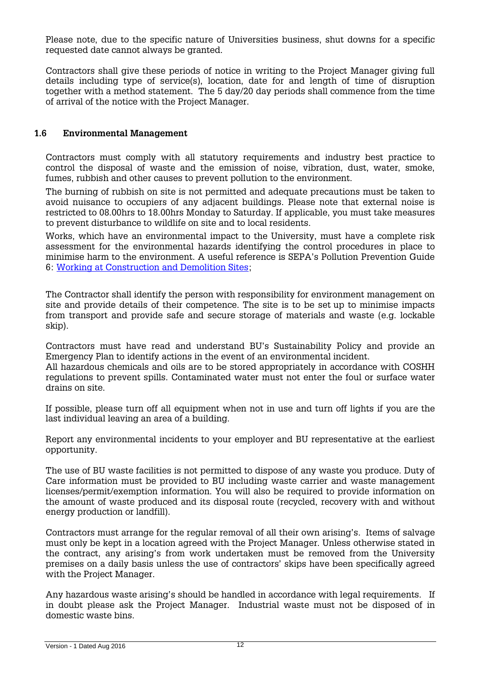Please note, due to the specific nature of Universities business, shut downs for a specific requested date cannot always be granted.

Contractors shall give these periods of notice in writing to the Project Manager giving full details including type of service(s), location, date for and length of time of disruption together with a method statement. The 5 day/20 day periods shall commence from the time of arrival of the notice with the Project Manager.

### **1.6 Environmental Management**

Contractors must comply with all statutory requirements and industry best practice to control the disposal of waste and the emission of noise, vibration, dust, water, smoke, fumes, rubbish and other causes to prevent pollution to the environment.

The burning of rubbish on site is not permitted and adequate precautions must be taken to avoid nuisance to occupiers of any adjacent buildings. Please note that external noise is restricted to 08.00hrs to 18.00hrs Monday to Saturday. If applicable, you must take measures to prevent disturbance to wildlife on site and to local residents.

Works, which have an environmental impact to the University, must have a complete risk assessment for the environmental hazards identifying the control procedures in place to minimise harm to the environment. A useful reference is SEPA's Pollution Prevention Guide 6: [Working at Construction and Demolition Sites;](http://www.sepa.org.uk/media/60125/ppg-6-working-at-construction-and-demolition-sites.pdf)

The Contractor shall identify the person with responsibility for environment management on site and provide details of their competence. The site is to be set up to minimise impacts from transport and provide safe and secure storage of materials and waste (e.g. lockable skip).

Contractors must have read and understand BU's Sustainability Policy and provide an Emergency Plan to identify actions in the event of an environmental incident.

All hazardous chemicals and oils are to be stored appropriately in accordance with COSHH regulations to prevent spills. Contaminated water must not enter the foul or surface water drains on site.

If possible, please turn off all equipment when not in use and turn off lights if you are the last individual leaving an area of a building.

Report any environmental incidents to your employer and BU representative at the earliest opportunity.

The use of BU waste facilities is not permitted to dispose of any waste you produce. Duty of Care information must be provided to BU including waste carrier and waste management licenses/permit/exemption information. You will also be required to provide information on the amount of waste produced and its disposal route (recycled, recovery with and without energy production or landfill).

Contractors must arrange for the regular removal of all their own arising's. Items of salvage must only be kept in a location agreed with the Project Manager. Unless otherwise stated in the contract, any arising's from work undertaken must be removed from the University premises on a daily basis unless the use of contractors' skips have been specifically agreed with the Project Manager.

Any hazardous waste arising's should be handled in accordance with legal requirements. If in doubt please ask the Project Manager. Industrial waste must not be disposed of in domestic waste bins.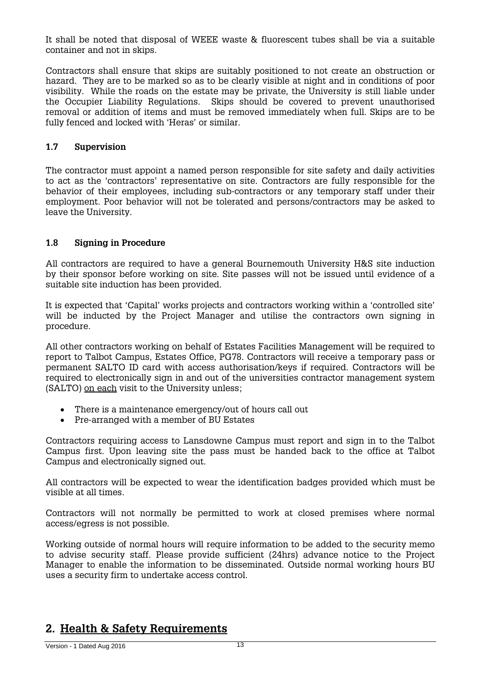It shall be noted that disposal of WEEE waste & fluorescent tubes shall be via a suitable container and not in skips.

Contractors shall ensure that skips are suitably positioned to not create an obstruction or hazard. They are to be marked so as to be clearly visible at night and in conditions of poor visibility. While the roads on the estate may be private, the University is still liable under the Occupier Liability Regulations. Skips should be covered to prevent unauthorised removal or addition of items and must be removed immediately when full. Skips are to be fully fenced and locked with 'Heras' or similar.

### **1.7 Supervision**

The contractor must appoint a named person responsible for site safety and daily activities to act as the 'contractors' representative on site. Contractors are fully responsible for the behavior of their employees, including sub-contractors or any temporary staff under their employment. Poor behavior will not be tolerated and persons/contractors may be asked to leave the University.

### **1.8 Signing in Procedure**

All contractors are required to have a general Bournemouth University H&S site induction by their sponsor before working on site. Site passes will not be issued until evidence of a suitable site induction has been provided.

It is expected that 'Capital' works projects and contractors working within a 'controlled site' will be inducted by the Project Manager and utilise the contractors own signing in procedure.

All other contractors working on behalf of Estates Facilities Management will be required to report to Talbot Campus, Estates Office, PG78. Contractors will receive a temporary pass or permanent SALTO ID card with access authorisation/keys if required. Contractors will be required to electronically sign in and out of the universities contractor management system (SALTO) on each visit to the University unless;

- There is a maintenance emergency/out of hours call out
- Pre-arranged with a member of BU Estates

Contractors requiring access to Lansdowne Campus must report and sign in to the Talbot Campus first. Upon leaving site the pass must be handed back to the office at Talbot Campus and electronically signed out.

All contractors will be expected to wear the identification badges provided which must be visible at all times.

Contractors will not normally be permitted to work at closed premises where normal access/egress is not possible.

Working outside of normal hours will require information to be added to the security memo to advise security staff. Please provide sufficient (24hrs) advance notice to the Project Manager to enable the information to be disseminated. Outside normal working hours BU uses a security firm to undertake access control.

# **2. Health & Safety Requirements**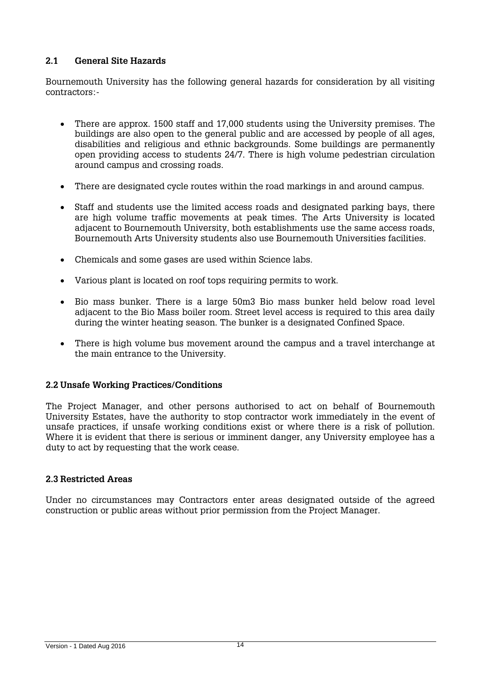# **2.1 General Site Hazards**

Bournemouth University has the following general hazards for consideration by all visiting contractors:-

- There are approx. 1500 staff and 17,000 students using the University premises. The buildings are also open to the general public and are accessed by people of all ages, disabilities and religious and ethnic backgrounds. Some buildings are permanently open providing access to students 24/7. There is high volume pedestrian circulation around campus and crossing roads.
- There are designated cycle routes within the road markings in and around campus.
- Staff and students use the limited access roads and designated parking bays, there are high volume traffic movements at peak times. The Arts University is located adjacent to Bournemouth University, both establishments use the same access roads, Bournemouth Arts University students also use Bournemouth Universities facilities.
- Chemicals and some gases are used within Science labs.
- Various plant is located on roof tops requiring permits to work.
- Bio mass bunker. There is a large 50m3 Bio mass bunker held below road level adjacent to the Bio Mass boiler room. Street level access is required to this area daily during the winter heating season. The bunker is a designated Confined Space.
- There is high volume bus movement around the campus and a travel interchange at the main entrance to the University.

# **2.2 Unsafe Working Practices/Conditions**

The Project Manager, and other persons authorised to act on behalf of Bournemouth University Estates, have the authority to stop contractor work immediately in the event of unsafe practices, if unsafe working conditions exist or where there is a risk of pollution. Where it is evident that there is serious or imminent danger, any University employee has a duty to act by requesting that the work cease.

# **2.3 Restricted Areas**

Under no circumstances may Contractors enter areas designated outside of the agreed construction or public areas without prior permission from the Project Manager.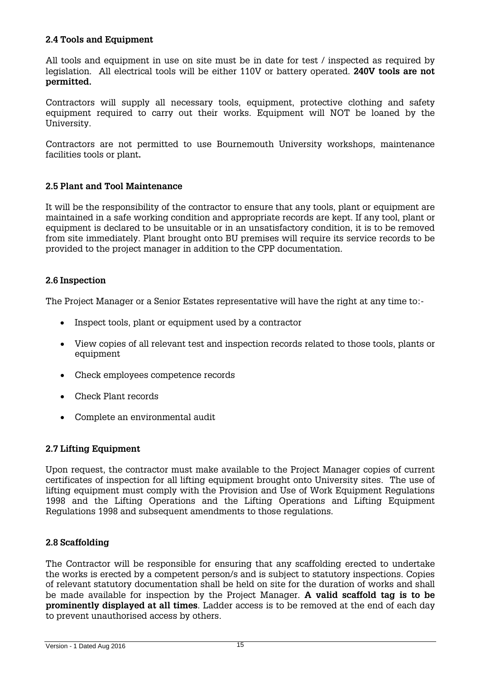# **2.4 Tools and Equipment**

All tools and equipment in use on site must be in date for test / inspected as required by legislation. All electrical tools will be either 110V or battery operated. **240V tools are not permitted.**

Contractors will supply all necessary tools, equipment, protective clothing and safety equipment required to carry out their works. Equipment will NOT be loaned by the University.

Contractors are not permitted to use Bournemouth University workshops, maintenance facilities tools or plant**.**

### **2.5 Plant and Tool Maintenance**

It will be the responsibility of the contractor to ensure that any tools, plant or equipment are maintained in a safe working condition and appropriate records are kept. If any tool, plant or equipment is declared to be unsuitable or in an unsatisfactory condition, it is to be removed from site immediately. Plant brought onto BU premises will require its service records to be provided to the project manager in addition to the CPP documentation.

### **2.6 Inspection**

The Project Manager or a Senior Estates representative will have the right at any time to:-

- Inspect tools, plant or equipment used by a contractor
- View copies of all relevant test and inspection records related to those tools, plants or equipment
- Check employees competence records
- Check Plant records
- Complete an environmental audit

### **2.7 Lifting Equipment**

Upon request, the contractor must make available to the Project Manager copies of current certificates of inspection for all lifting equipment brought onto University sites. The use of lifting equipment must comply with the Provision and Use of Work Equipment Regulations 1998 and the Lifting Operations and the Lifting Operations and Lifting Equipment Regulations 1998 and subsequent amendments to those regulations.

### **2.8 Scaffolding**

The Contractor will be responsible for ensuring that any scaffolding erected to undertake the works is erected by a competent person/s and is subject to statutory inspections. Copies of relevant statutory documentation shall be held on site for the duration of works and shall be made available for inspection by the Project Manager. **A valid scaffold tag is to be prominently displayed at all times**. Ladder access is to be removed at the end of each day to prevent unauthorised access by others.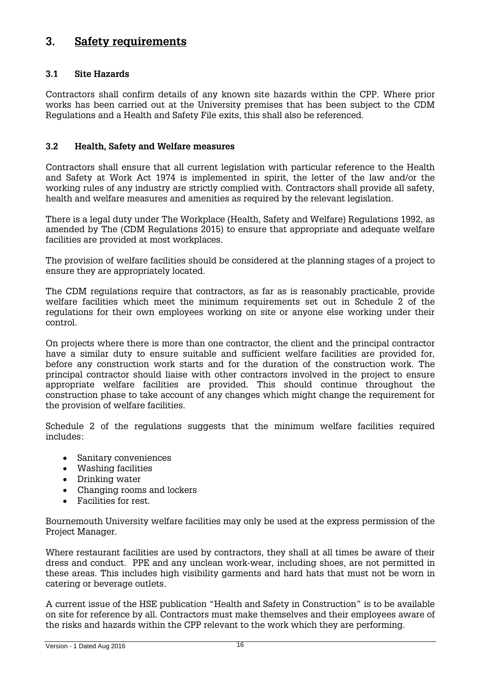# **3. Safety requirements**

# **3.1 Site Hazards**

Contractors shall confirm details of any known site hazards within the CPP. Where prior works has been carried out at the University premises that has been subject to the CDM Regulations and a Health and Safety File exits, this shall also be referenced.

# **3.2 Health, Safety and Welfare measures**

Contractors shall ensure that all current legislation with particular reference to the Health and Safety at Work Act 1974 is implemented in spirit, the letter of the law and/or the working rules of any industry are strictly complied with. Contractors shall provide all safety, health and welfare measures and amenities as required by the relevant legislation.

There is a legal duty under The Workplace (Health, Safety and Welfare) Regulations 1992, as amended by The (CDM Regulations 2015) to ensure that appropriate and adequate welfare facilities are provided at most workplaces.

The provision of welfare facilities should be considered at the planning stages of a project to ensure they are appropriately located.

The CDM regulations require that contractors, as far as is reasonably practicable, provide welfare facilities which meet the minimum requirements set out in Schedule 2 of the regulations for their own employees working on site or anyone else working under their control.

On projects where there is more than one contractor, the client and the principal contractor have a similar duty to ensure suitable and sufficient welfare facilities are provided for, before any construction work starts and for the duration of the construction work. The principal contractor should liaise with other contractors involved in the project to ensure appropriate welfare facilities are provided. This should continue throughout the construction phase to take account of any changes which might change the requirement for the provision of welfare facilities.

Schedule 2 of the regulations suggests that the minimum welfare facilities required includes:

- Sanitary conveniences
- Washing facilities
- Drinking water
- Changing rooms and lockers
- Facilities for rest.

Bournemouth University welfare facilities may only be used at the express permission of the Project Manager.

Where restaurant facilities are used by contractors, they shall at all times be aware of their dress and conduct. PPE and any unclean work-wear, including shoes, are not permitted in these areas. This includes high visibility garments and hard hats that must not be worn in catering or beverage outlets.

A current issue of the HSE publication "Health and Safety in Construction" is to be available on site for reference by all. Contractors must make themselves and their employees aware of the risks and hazards within the CPP relevant to the work which they are performing.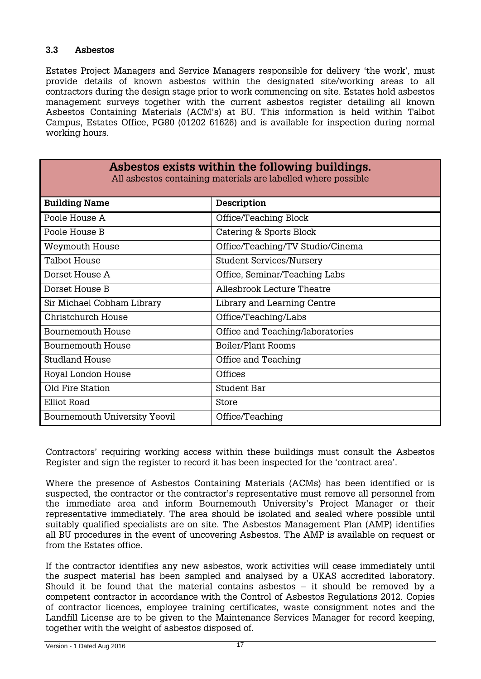### **3.3 Asbestos**

Estates Project Managers and Service Managers responsible for delivery 'the work', must provide details of known asbestos within the designated site/working areas to all contractors during the design stage prior to work commencing on site. Estates hold asbestos management surveys together with the current asbestos register detailing all known Asbestos Containing Materials (ACM's) at BU. This information is held within Talbot Campus, Estates Office, PG80 (01202 61626) and is available for inspection during normal working hours.

| Asbestos exists within the following buildings.<br>All asbestos containing materials are labelled where possible |                                  |  |
|------------------------------------------------------------------------------------------------------------------|----------------------------------|--|
| <b>Building Name</b>                                                                                             | Description                      |  |
| Poole House A                                                                                                    | Office/Teaching Block            |  |
| Poole House B                                                                                                    | Catering & Sports Block          |  |
| Weymouth House                                                                                                   | Office/Teaching/TV Studio/Cinema |  |
| Talbot House                                                                                                     | <b>Student Services/Nursery</b>  |  |
| Dorset House A                                                                                                   | Office, Seminar/Teaching Labs    |  |
| Dorset House B                                                                                                   | Allesbrook Lecture Theatre       |  |
| Sir Michael Cobham Library                                                                                       | Library and Learning Centre      |  |
| Christchurch House                                                                                               | Office/Teaching/Labs             |  |
| Bournemouth House                                                                                                | Office and Teaching/laboratories |  |
| Bournemouth House                                                                                                | Boiler/Plant Rooms               |  |
| <b>Studland House</b>                                                                                            | Office and Teaching              |  |
| Royal London House                                                                                               | Offices                          |  |
| Old Fire Station                                                                                                 | Student Bar                      |  |
| Elliot Road                                                                                                      | Store                            |  |
| <b>Bournemouth University Yeovil</b>                                                                             | Office/Teaching                  |  |

Contractors' requiring working access within these buildings must consult the Asbestos Register and sign the register to record it has been inspected for the 'contract area'.

Where the presence of Asbestos Containing Materials (ACMs) has been identified or is suspected, the contractor or the contractor's representative must remove all personnel from the immediate area and inform Bournemouth University's Project Manager or their representative immediately. The area should be isolated and sealed where possible until suitably qualified specialists are on site. The Asbestos Management Plan (AMP) identifies all BU procedures in the event of uncovering Asbestos. The AMP is available on request or from the Estates office.

If the contractor identifies any new asbestos, work activities will cease immediately until the suspect material has been sampled and analysed by a UKAS accredited laboratory. Should it be found that the material contains as bestos  $-$  it should be removed by a competent contractor in accordance with the Control of Asbestos Regulations 2012. Copies of contractor licences, employee training certificates, waste consignment notes and the Landfill License are to be given to the Maintenance Services Manager for record keeping, together with the weight of asbestos disposed of.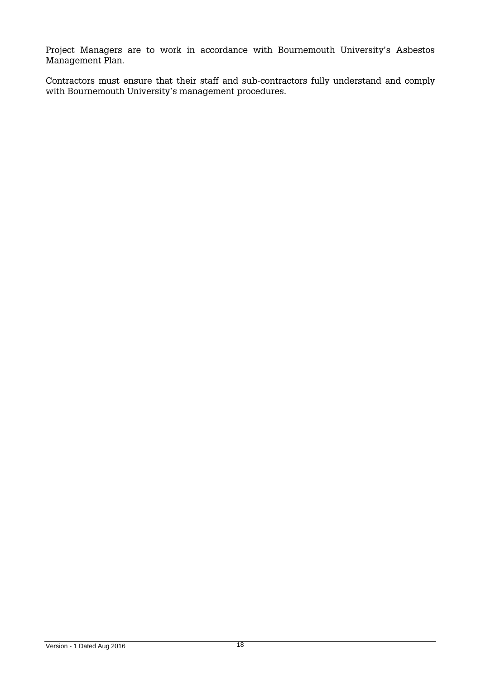Project Managers are to work in accordance with Bournemouth University's Asbestos Management Plan.

Contractors must ensure that their staff and sub-contractors fully understand and comply with Bournemouth University's management procedures.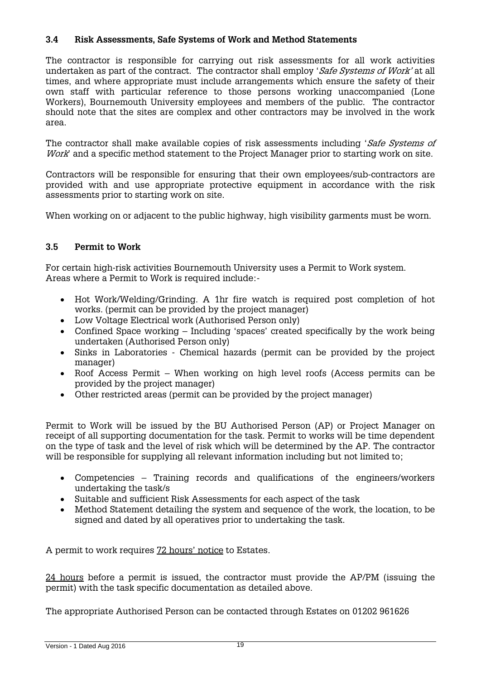# **3.4 Risk Assessments, Safe Systems of Work and Method Statements**

The contractor is responsible for carrying out risk assessments for all work activities undertaken as part of the contract. The contractor shall employ 'Safe Systems of Work' at all times, and where appropriate must include arrangements which ensure the safety of their own staff with particular reference to those persons working unaccompanied (Lone Workers), Bournemouth University employees and members of the public. The contractor should note that the sites are complex and other contractors may be involved in the work area.

The contractor shall make available copies of risk assessments including 'Safe Systems of Work' and a specific method statement to the Project Manager prior to starting work on site.

Contractors will be responsible for ensuring that their own employees/sub-contractors are provided with and use appropriate protective equipment in accordance with the risk assessments prior to starting work on site.

When working on or adjacent to the public highway, high visibility garments must be worn.

### **3.5 Permit to Work**

For certain high-risk activities Bournemouth University uses a Permit to Work system. Areas where a Permit to Work is required include:-

- Hot Work/Welding/Grinding. A 1hr fire watch is required post completion of hot works. (permit can be provided by the project manager)
- Low Voltage Electrical work (Authorised Person only)
- Confined Space working Including 'spaces' created specifically by the work being undertaken (Authorised Person only)
- Sinks in Laboratories Chemical hazards (permit can be provided by the project manager)
- Roof Access Permit When working on high level roofs (Access permits can be provided by the project manager)
- Other restricted areas (permit can be provided by the project manager)

Permit to Work will be issued by the BU Authorised Person (AP) or Project Manager on receipt of all supporting documentation for the task. Permit to works will be time dependent on the type of task and the level of risk which will be determined by the AP. The contractor will be responsible for supplying all relevant information including but not limited to;

- Competencies Training records and qualifications of the engineers/workers undertaking the task/s
- Suitable and sufficient Risk Assessments for each aspect of the task
- Method Statement detailing the system and sequence of the work, the location, to be signed and dated by all operatives prior to undertaking the task.

A permit to work requires 72 hours' notice to Estates.

24 hours before a permit is issued, the contractor must provide the AP/PM (issuing the permit) with the task specific documentation as detailed above.

The appropriate Authorised Person can be contacted through Estates on 01202 961626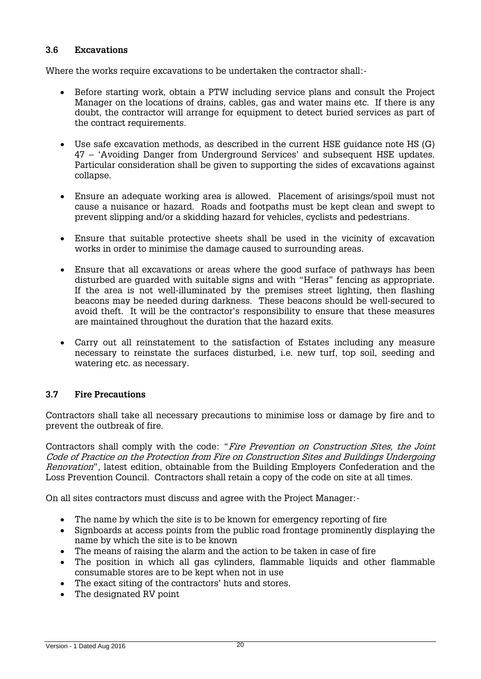### **3.6 Excavations**

Where the works require excavations to be undertaken the contractor shall:-

- Before starting work, obtain a PTW including service plans and consult the Project Manager on the locations of drains, cables, gas and water mains etc. If there is any doubt, the contractor will arrange for equipment to detect buried services as part of the contract requirements.
- Use safe excavation methods, as described in the current HSE guidance note HS (G) 47 – 'Avoiding Danger from Underground Services' and subsequent HSE updates. Particular consideration shall be given to supporting the sides of excavations against collapse.
- Ensure an adequate working area is allowed. Placement of arisings/spoil must not cause a nuisance or hazard. Roads and footpaths must be kept clean and swept to prevent slipping and/or a skidding hazard for vehicles, cyclists and pedestrians.
- Ensure that suitable protective sheets shall be used in the vicinity of excavation works in order to minimise the damage caused to surrounding areas.
- Ensure that all excavations or areas where the good surface of pathways has been disturbed are guarded with suitable signs and with "Heras" fencing as appropriate. If the area is not well-illuminated by the premises street lighting, then flashing beacons may be needed during darkness. These beacons should be well-secured to avoid theft. It will be the contractor's responsibility to ensure that these measures are maintained throughout the duration that the hazard exits.
- Carry out all reinstatement to the satisfaction of Estates including any measure necessary to reinstate the surfaces disturbed, i.e. new turf, top soil, seeding and watering etc. as necessary.

# **3.7 Fire Precautions**

Contractors shall take all necessary precautions to minimise loss or damage by fire and to prevent the outbreak of fire.

Contractors shall comply with the code: "Fire Prevention on Construction Sites, the Joint Code of Practice on the Protection from Fire on Construction Sites and Buildings Undergoing Renovation", latest edition, obtainable from the Building Employers Confederation and the Loss Prevention Council. Contractors shall retain a copy of the code on site at all times.

On all sites contractors must discuss and agree with the Project Manager:-

- The name by which the site is to be known for emergency reporting of fire
- Signboards at access points from the public road frontage prominently displaying the name by which the site is to be known
- The means of raising the alarm and the action to be taken in case of fire
- The position in which all gas cylinders, flammable liquids and other flammable consumable stores are to be kept when not in use
- The exact siting of the contractors' huts and stores.
- The designated RV point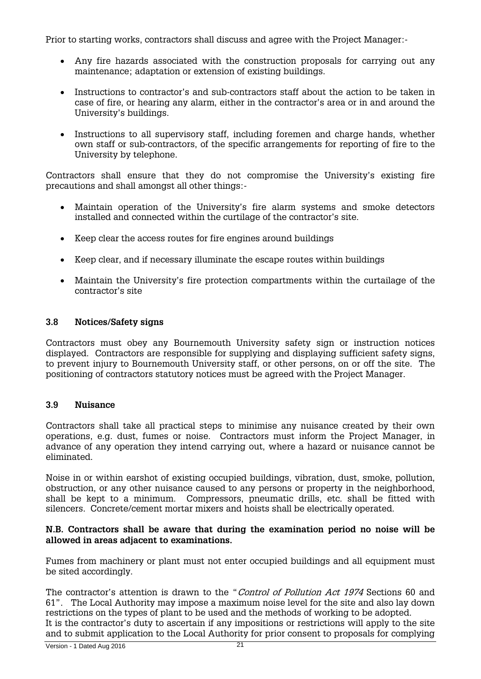Prior to starting works, contractors shall discuss and agree with the Project Manager:-

- Any fire hazards associated with the construction proposals for carrying out any maintenance; adaptation or extension of existing buildings.
- Instructions to contractor's and sub-contractors staff about the action to be taken in case of fire, or hearing any alarm, either in the contractor's area or in and around the University's buildings.
- Instructions to all supervisory staff, including foremen and charge hands, whether own staff or sub-contractors, of the specific arrangements for reporting of fire to the University by telephone.

Contractors shall ensure that they do not compromise the University's existing fire precautions and shall amongst all other things:-

- Maintain operation of the University's fire alarm systems and smoke detectors installed and connected within the curtilage of the contractor's site.
- Keep clear the access routes for fire engines around buildings
- Keep clear, and if necessary illuminate the escape routes within buildings
- Maintain the University's fire protection compartments within the curtailage of the contractor's site

### **3.8 Notices/Safety signs**

Contractors must obey any Bournemouth University safety sign or instruction notices displayed. Contractors are responsible for supplying and displaying sufficient safety signs, to prevent injury to Bournemouth University staff, or other persons, on or off the site. The positioning of contractors statutory notices must be agreed with the Project Manager.

# **3.9 Nuisance**

Contractors shall take all practical steps to minimise any nuisance created by their own operations, e.g. dust, fumes or noise. Contractors must inform the Project Manager, in advance of any operation they intend carrying out, where a hazard or nuisance cannot be eliminated.

Noise in or within earshot of existing occupied buildings, vibration, dust, smoke, pollution, obstruction, or any other nuisance caused to any persons or property in the neighborhood, shall be kept to a minimum. Compressors, pneumatic drills, etc. shall be fitted with silencers. Concrete/cement mortar mixers and hoists shall be electrically operated.

### **N.B. Contractors shall be aware that during the examination period no noise will be allowed in areas adjacent to examinations.**

Fumes from machinery or plant must not enter occupied buildings and all equipment must be sited accordingly.

The contractor's attention is drawn to the "Control of Pollution Act 1974 Sections 60 and 61". The Local Authority may impose a maximum noise level for the site and also lay down restrictions on the types of plant to be used and the methods of working to be adopted.

It is the contractor's duty to ascertain if any impositions or restrictions will apply to the site and to submit application to the Local Authority for prior consent to proposals for complying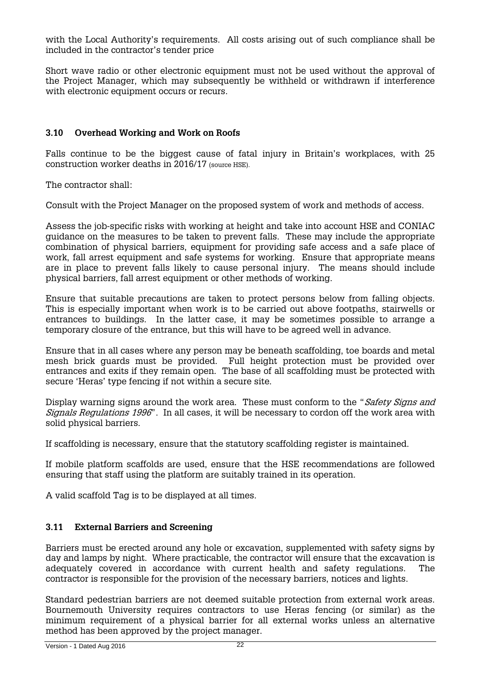with the Local Authority's requirements. All costs arising out of such compliance shall be included in the contractor's tender price

Short wave radio or other electronic equipment must not be used without the approval of the Project Manager, which may subsequently be withheld or withdrawn if interference with electronic equipment occurs or recurs.

### **3.10 Overhead Working and Work on Roofs**

Falls continue to be the biggest cause of fatal injury in Britain's workplaces, with 25 construction worker deaths in 2016/17 (source HSE).

The contractor shall:

Consult with the Project Manager on the proposed system of work and methods of access.

Assess the job-specific risks with working at height and take into account HSE and CONIAC guidance on the measures to be taken to prevent falls. These may include the appropriate combination of physical barriers, equipment for providing safe access and a safe place of work, fall arrest equipment and safe systems for working. Ensure that appropriate means are in place to prevent falls likely to cause personal injury. The means should include physical barriers, fall arrest equipment or other methods of working.

Ensure that suitable precautions are taken to protect persons below from falling objects. This is especially important when work is to be carried out above footpaths, stairwells or entrances to buildings. In the latter case, it may be sometimes possible to arrange a temporary closure of the entrance, but this will have to be agreed well in advance.

Ensure that in all cases where any person may be beneath scaffolding, toe boards and metal mesh brick guards must be provided. Full height protection must be provided over entrances and exits if they remain open. The base of all scaffolding must be protected with secure 'Heras' type fencing if not within a secure site.

Display warning signs around the work area. These must conform to the "Safety Signs and Signals Regulations 1996". In all cases, it will be necessary to cordon off the work area with solid physical barriers.

If scaffolding is necessary, ensure that the statutory scaffolding register is maintained.

If mobile platform scaffolds are used, ensure that the HSE recommendations are followed ensuring that staff using the platform are suitably trained in its operation.

A valid scaffold Tag is to be displayed at all times.

### **3.11 External Barriers and Screening**

Barriers must be erected around any hole or excavation, supplemented with safety signs by day and lamps by night. Where practicable, the contractor will ensure that the excavation is adequately covered in accordance with current health and safety regulations. The contractor is responsible for the provision of the necessary barriers, notices and lights.

Standard pedestrian barriers are not deemed suitable protection from external work areas. Bournemouth University requires contractors to use Heras fencing (or similar) as the minimum requirement of a physical barrier for all external works unless an alternative method has been approved by the project manager.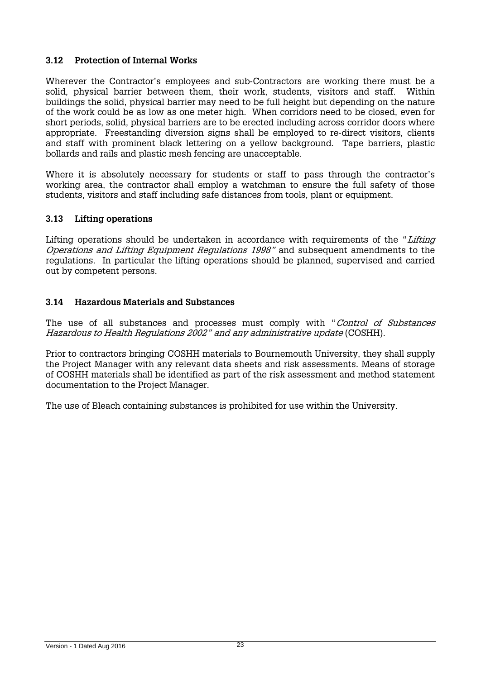# **3.12 Protection of Internal Works**

Wherever the Contractor's employees and sub-Contractors are working there must be a solid, physical barrier between them, their work, students, visitors and staff. Within buildings the solid, physical barrier may need to be full height but depending on the nature of the work could be as low as one meter high. When corridors need to be closed, even for short periods, solid, physical barriers are to be erected including across corridor doors where appropriate. Freestanding diversion signs shall be employed to re-direct visitors, clients and staff with prominent black lettering on a yellow background. Tape barriers, plastic bollards and rails and plastic mesh fencing are unacceptable.

Where it is absolutely necessary for students or staff to pass through the contractor's working area, the contractor shall employ a watchman to ensure the full safety of those students, visitors and staff including safe distances from tools, plant or equipment.

# **3.13 Lifting operations**

Lifting operations should be undertaken in accordance with requirements of the "Lifting" Operations and Lifting Equipment Regulations 1998" and subsequent amendments to the regulations. In particular the lifting operations should be planned, supervised and carried out by competent persons.

### **3.14 Hazardous Materials and Substances**

The use of all substances and processes must comply with "Control of Substances Hazardous to Health Regulations 2002" and any administrative update (COSHH).

Prior to contractors bringing COSHH materials to Bournemouth University, they shall supply the Project Manager with any relevant data sheets and risk assessments. Means of storage of COSHH materials shall be identified as part of the risk assessment and method statement documentation to the Project Manager.

The use of Bleach containing substances is prohibited for use within the University.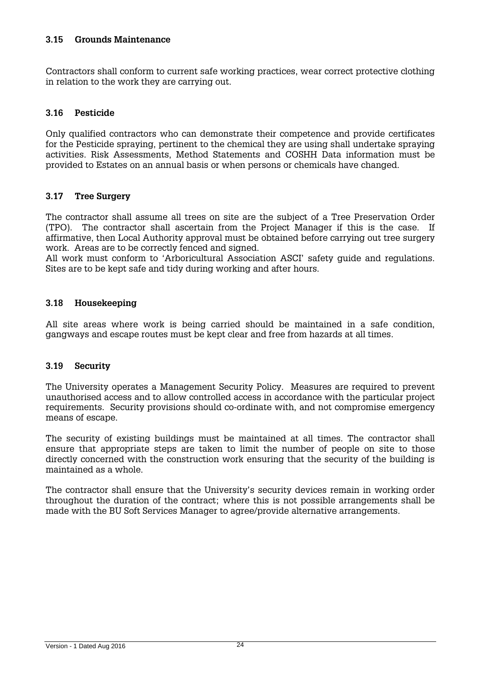### **3.15 Grounds Maintenance**

Contractors shall conform to current safe working practices, wear correct protective clothing in relation to the work they are carrying out.

### **3.16 Pesticide**

Only qualified contractors who can demonstrate their competence and provide certificates for the Pesticide spraying, pertinent to the chemical they are using shall undertake spraying activities. Risk Assessments, Method Statements and COSHH Data information must be provided to Estates on an annual basis or when persons or chemicals have changed.

### **3.17 Tree Surgery**

The contractor shall assume all trees on site are the subject of a Tree Preservation Order (TPO). The contractor shall ascertain from the Project Manager if this is the case. If affirmative, then Local Authority approval must be obtained before carrying out tree surgery work. Areas are to be correctly fenced and signed.

All work must conform to 'Arboricultural Association ASCI' safety guide and regulations. Sites are to be kept safe and tidy during working and after hours.

### **3.18 Housekeeping**

All site areas where work is being carried should be maintained in a safe condition, gangways and escape routes must be kept clear and free from hazards at all times.

### **3.19 Security**

The University operates a Management Security Policy. Measures are required to prevent unauthorised access and to allow controlled access in accordance with the particular project requirements. Security provisions should co-ordinate with, and not compromise emergency means of escape.

The security of existing buildings must be maintained at all times. The contractor shall ensure that appropriate steps are taken to limit the number of people on site to those directly concerned with the construction work ensuring that the security of the building is maintained as a whole.

The contractor shall ensure that the University's security devices remain in working order throughout the duration of the contract; where this is not possible arrangements shall be made with the BU Soft Services Manager to agree/provide alternative arrangements.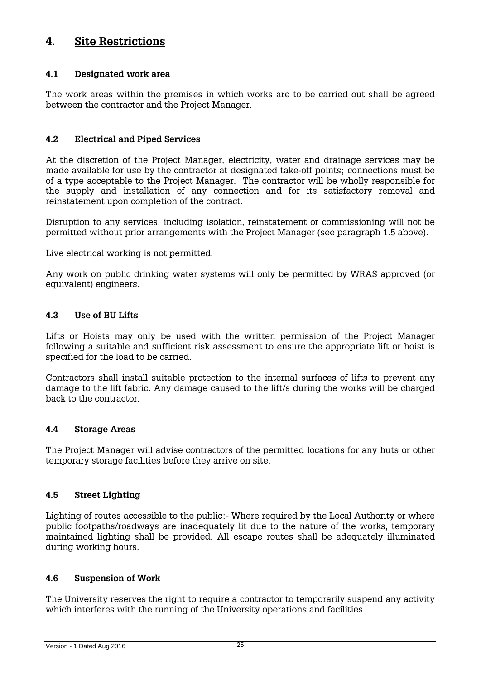# **4. Site Restrictions**

# **4.1 Designated work area**

The work areas within the premises in which works are to be carried out shall be agreed between the contractor and the Project Manager.

# **4.2 Electrical and Piped Services**

At the discretion of the Project Manager, electricity, water and drainage services may be made available for use by the contractor at designated take-off points; connections must be of a type acceptable to the Project Manager. The contractor will be wholly responsible for the supply and installation of any connection and for its satisfactory removal and reinstatement upon completion of the contract.

Disruption to any services, including isolation, reinstatement or commissioning will not be permitted without prior arrangements with the Project Manager (see paragraph 1.5 above).

Live electrical working is not permitted.

Any work on public drinking water systems will only be permitted by WRAS approved (or equivalent) engineers.

# **4.3 Use of BU Lifts**

Lifts or Hoists may only be used with the written permission of the Project Manager following a suitable and sufficient risk assessment to ensure the appropriate lift or hoist is specified for the load to be carried.

Contractors shall install suitable protection to the internal surfaces of lifts to prevent any damage to the lift fabric. Any damage caused to the lift/s during the works will be charged back to the contractor.

### **4.4 Storage Areas**

The Project Manager will advise contractors of the permitted locations for any huts or other temporary storage facilities before they arrive on site.

# **4.5 Street Lighting**

Lighting of routes accessible to the public:- Where required by the Local Authority or where public footpaths/roadways are inadequately lit due to the nature of the works, temporary maintained lighting shall be provided. All escape routes shall be adequately illuminated during working hours.

# **4.6 Suspension of Work**

The University reserves the right to require a contractor to temporarily suspend any activity which interferes with the running of the University operations and facilities.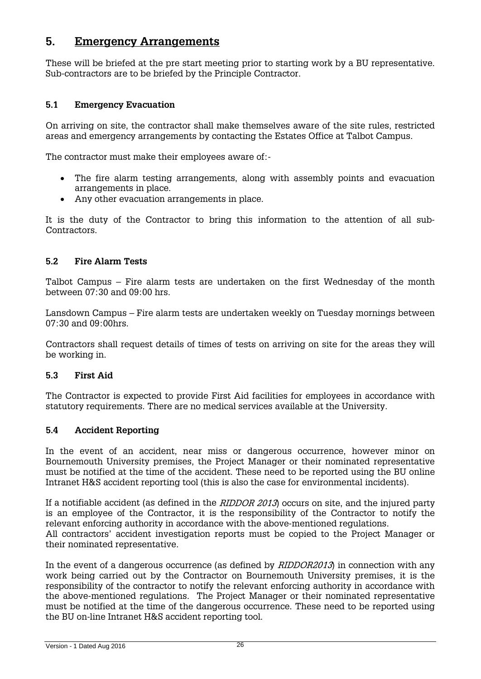# **5. Emergency Arrangements**

These will be briefed at the pre start meeting prior to starting work by a BU representative. Sub-contractors are to be briefed by the Principle Contractor.

# **5.1 Emergency Evacuation**

On arriving on site, the contractor shall make themselves aware of the site rules, restricted areas and emergency arrangements by contacting the Estates Office at Talbot Campus.

The contractor must make their employees aware of:-

- The fire alarm testing arrangements, along with assembly points and evacuation arrangements in place.
- Any other evacuation arrangements in place.

It is the duty of the Contractor to bring this information to the attention of all sub-Contractors.

# **5.2 Fire Alarm Tests**

Talbot Campus – Fire alarm tests are undertaken on the first Wednesday of the month between 07:30 and 09:00 hrs.

Lansdown Campus – Fire alarm tests are undertaken weekly on Tuesday mornings between 07:30 and 09:00hrs.

Contractors shall request details of times of tests on arriving on site for the areas they will be working in.

### **5.3 First Aid**

The Contractor is expected to provide First Aid facilities for employees in accordance with statutory requirements. There are no medical services available at the University.

# **5.4 Accident Reporting**

In the event of an accident, near miss or dangerous occurrence, however minor on Bournemouth University premises, the Project Manager or their nominated representative must be notified at the time of the accident. These need to be reported using the BU online Intranet H&S accident reporting tool (this is also the case for environmental incidents).

If a notifiable accident (as defined in the RIDDOR 2013) occurs on site, and the injured party is an employee of the Contractor, it is the responsibility of the Contractor to notify the relevant enforcing authority in accordance with the above-mentioned regulations. All contractors' accident investigation reports must be copied to the Project Manager or their nominated representative.

In the event of a dangerous occurrence (as defined by *RIDDOR2013*) in connection with any work being carried out by the Contractor on Bournemouth University premises, it is the responsibility of the contractor to notify the relevant enforcing authority in accordance with the above-mentioned regulations. The Project Manager or their nominated representative must be notified at the time of the dangerous occurrence. These need to be reported using the BU on-line Intranet H&S accident reporting tool.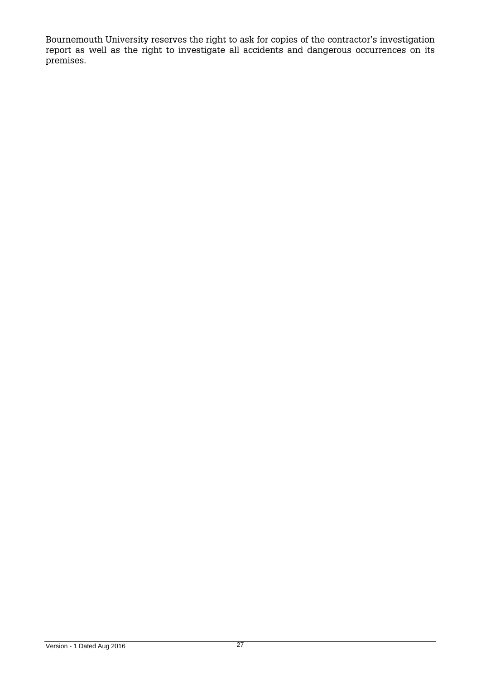Bournemouth University reserves the right to ask for copies of the contractor's investigation report as well as the right to investigate all accidents and dangerous occurrences on its premises.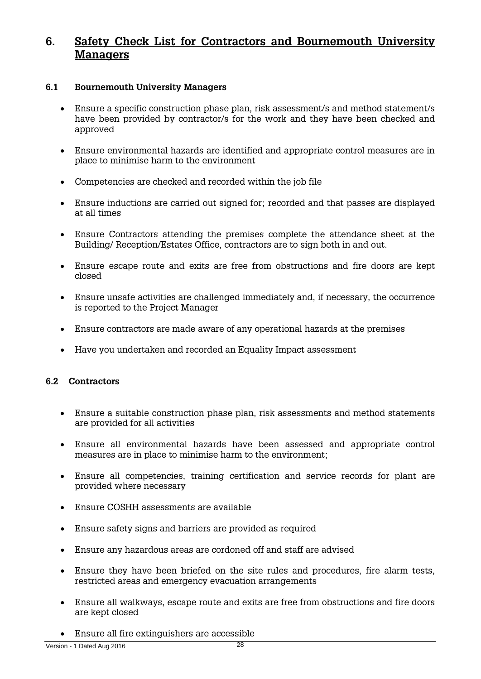# **6. Safety Check List for Contractors and Bournemouth University Managers**

### <span id="page-27-0"></span>**6.1 Bournemouth University Managers**

- Ensure a specific construction phase plan, risk assessment/s and method statement/s have been provided by contractor/s for the work and they have been checked and approved
- Ensure environmental hazards are identified and appropriate control measures are in place to minimise harm to the environment
- Competencies are checked and recorded within the job file
- Ensure inductions are carried out signed for; recorded and that passes are displayed at all times
- Ensure Contractors attending the premises complete the attendance sheet at the Building/ Reception/Estates Office, contractors are to sign both in and out.
- Ensure escape route and exits are free from obstructions and fire doors are kept closed
- Ensure unsafe activities are challenged immediately and, if necessary, the occurrence is reported to the Project Manager
- Ensure contractors are made aware of any operational hazards at the premises
- Have you undertaken and recorded an Equality Impact assessment

# **6.2 Contractors**

- Ensure a suitable construction phase plan, risk assessments and method statements are provided for all activities
- Ensure all environmental hazards have been assessed and appropriate control measures are in place to minimise harm to the environment;
- Ensure all competencies, training certification and service records for plant are provided where necessary
- Ensure COSHH assessments are available
- Ensure safety signs and barriers are provided as required
- Ensure any hazardous areas are cordoned off and staff are advised
- Ensure they have been briefed on the site rules and procedures, fire alarm tests, restricted areas and emergency evacuation arrangements
- Ensure all walkways, escape route and exits are free from obstructions and fire doors are kept closed
- Ensure all fire extinguishers are accessible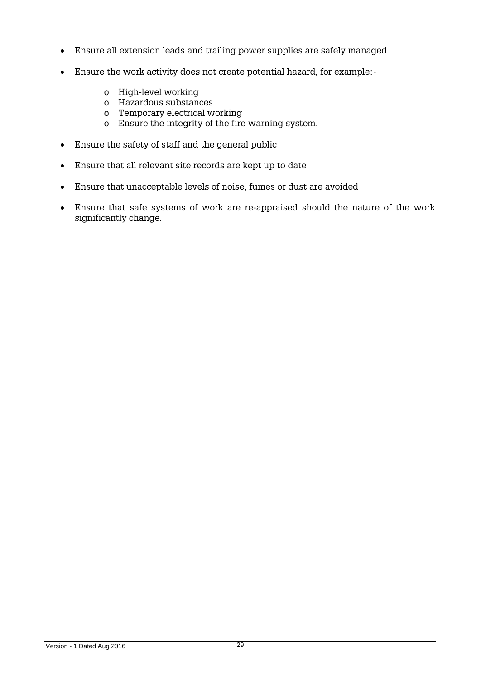- Ensure all extension leads and trailing power supplies are safely managed
- Ensure the work activity does not create potential hazard, for example:
	- o High-level working
	- o Hazardous substances
	- o Temporary electrical working
	- o Ensure the integrity of the fire warning system.
- Ensure the safety of staff and the general public
- Ensure that all relevant site records are kept up to date
- Ensure that unacceptable levels of noise, fumes or dust are avoided
- Ensure that safe systems of work are re-appraised should the nature of the work significantly change.